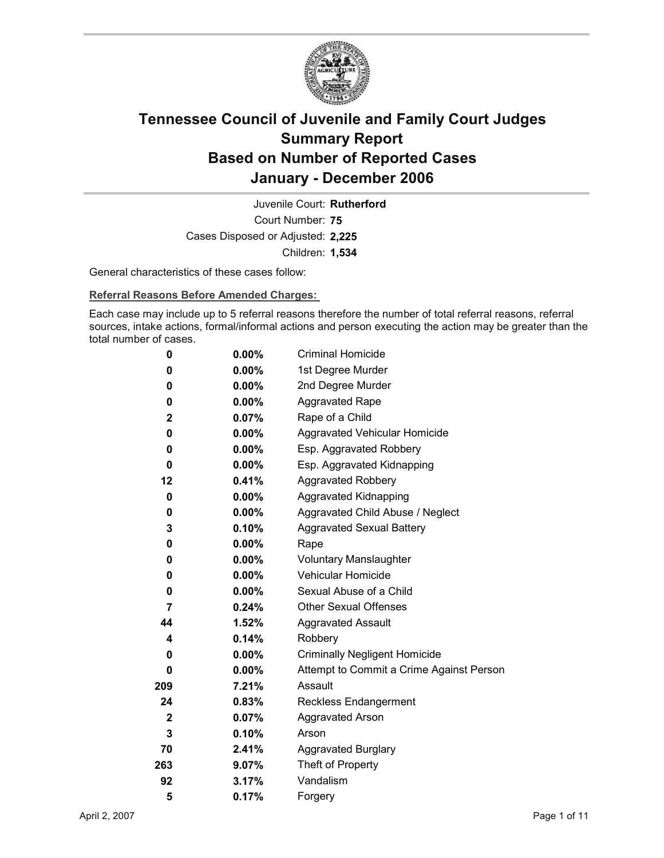

Court Number: **75** Juvenile Court: **Rutherford** Cases Disposed or Adjusted: **2,225** Children: **1,534**

General characteristics of these cases follow:

**Referral Reasons Before Amended Charges:** 

Each case may include up to 5 referral reasons therefore the number of total referral reasons, referral sources, intake actions, formal/informal actions and person executing the action may be greater than the total number of cases.

| 0            | 0.00%    | <b>Criminal Homicide</b>                 |
|--------------|----------|------------------------------------------|
| 0            | $0.00\%$ | 1st Degree Murder                        |
| 0            | $0.00\%$ | 2nd Degree Murder                        |
| 0            | $0.00\%$ | <b>Aggravated Rape</b>                   |
| $\mathbf 2$  | 0.07%    | Rape of a Child                          |
| 0            | $0.00\%$ | Aggravated Vehicular Homicide            |
| 0            | $0.00\%$ | Esp. Aggravated Robbery                  |
| 0            | $0.00\%$ | Esp. Aggravated Kidnapping               |
| 12           | 0.41%    | <b>Aggravated Robbery</b>                |
| 0            | $0.00\%$ | <b>Aggravated Kidnapping</b>             |
| 0            | $0.00\%$ | Aggravated Child Abuse / Neglect         |
| 3            | 0.10%    | <b>Aggravated Sexual Battery</b>         |
| 0            | $0.00\%$ | Rape                                     |
| 0            | $0.00\%$ | <b>Voluntary Manslaughter</b>            |
| 0            | $0.00\%$ | <b>Vehicular Homicide</b>                |
| 0            | $0.00\%$ | Sexual Abuse of a Child                  |
| 7            | 0.24%    | <b>Other Sexual Offenses</b>             |
| 44           | $1.52\%$ | <b>Aggravated Assault</b>                |
| 4            | 0.14%    | Robbery                                  |
| 0            | $0.00\%$ | <b>Criminally Negligent Homicide</b>     |
| 0            | $0.00\%$ | Attempt to Commit a Crime Against Person |
| 209          | 7.21%    | Assault                                  |
| 24           | 0.83%    | <b>Reckless Endangerment</b>             |
| $\mathbf{2}$ | 0.07%    | <b>Aggravated Arson</b>                  |
| 3            | 0.10%    | Arson                                    |
| 70           | 2.41%    | <b>Aggravated Burglary</b>               |
| 263          | 9.07%    | Theft of Property                        |
| 92           | 3.17%    | Vandalism                                |
| 5            | 0.17%    | Forgery                                  |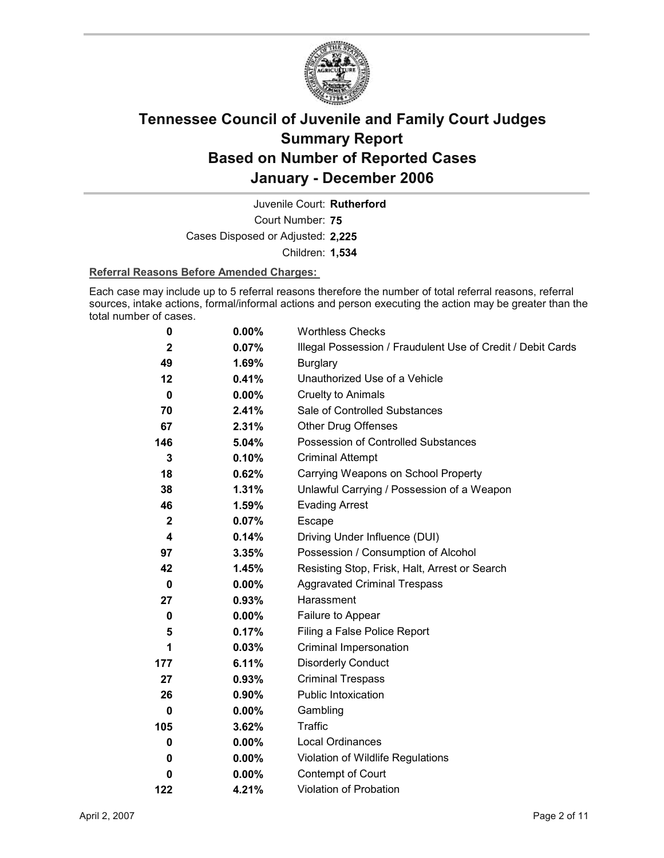

Court Number: **75** Juvenile Court: **Rutherford** Cases Disposed or Adjusted: **2,225** Children: **1,534**

#### **Referral Reasons Before Amended Charges:**

Each case may include up to 5 referral reasons therefore the number of total referral reasons, referral sources, intake actions, formal/informal actions and person executing the action may be greater than the total number of cases.

| 0            | $0.00\%$ | <b>Worthless Checks</b>                                     |
|--------------|----------|-------------------------------------------------------------|
| $\mathbf{2}$ | 0.07%    | Illegal Possession / Fraudulent Use of Credit / Debit Cards |
| 49           | 1.69%    | <b>Burglary</b>                                             |
| 12           | 0.41%    | Unauthorized Use of a Vehicle                               |
| $\bf{0}$     | $0.00\%$ | <b>Cruelty to Animals</b>                                   |
| 70           | 2.41%    | Sale of Controlled Substances                               |
| 67           | 2.31%    | <b>Other Drug Offenses</b>                                  |
| 146          | 5.04%    | Possession of Controlled Substances                         |
| 3            | 0.10%    | <b>Criminal Attempt</b>                                     |
| 18           | 0.62%    | Carrying Weapons on School Property                         |
| 38           | 1.31%    | Unlawful Carrying / Possession of a Weapon                  |
| 46           | 1.59%    | <b>Evading Arrest</b>                                       |
| $\mathbf{2}$ | 0.07%    | Escape                                                      |
| 4            | 0.14%    | Driving Under Influence (DUI)                               |
| 97           | 3.35%    | Possession / Consumption of Alcohol                         |
| 42           | 1.45%    | Resisting Stop, Frisk, Halt, Arrest or Search               |
| 0            | $0.00\%$ | <b>Aggravated Criminal Trespass</b>                         |
| 27           | 0.93%    | Harassment                                                  |
| 0            | 0.00%    | Failure to Appear                                           |
| 5            | 0.17%    | Filing a False Police Report                                |
| 1            | 0.03%    | Criminal Impersonation                                      |
| 177          | 6.11%    | <b>Disorderly Conduct</b>                                   |
| 27           | 0.93%    | <b>Criminal Trespass</b>                                    |
| 26           | $0.90\%$ | <b>Public Intoxication</b>                                  |
| 0            | $0.00\%$ | Gambling                                                    |
| 105          | 3.62%    | Traffic                                                     |
| 0            | $0.00\%$ | Local Ordinances                                            |
| 0            | $0.00\%$ | Violation of Wildlife Regulations                           |
| 0            | $0.00\%$ | Contempt of Court                                           |
| 122          | 4.21%    | <b>Violation of Probation</b>                               |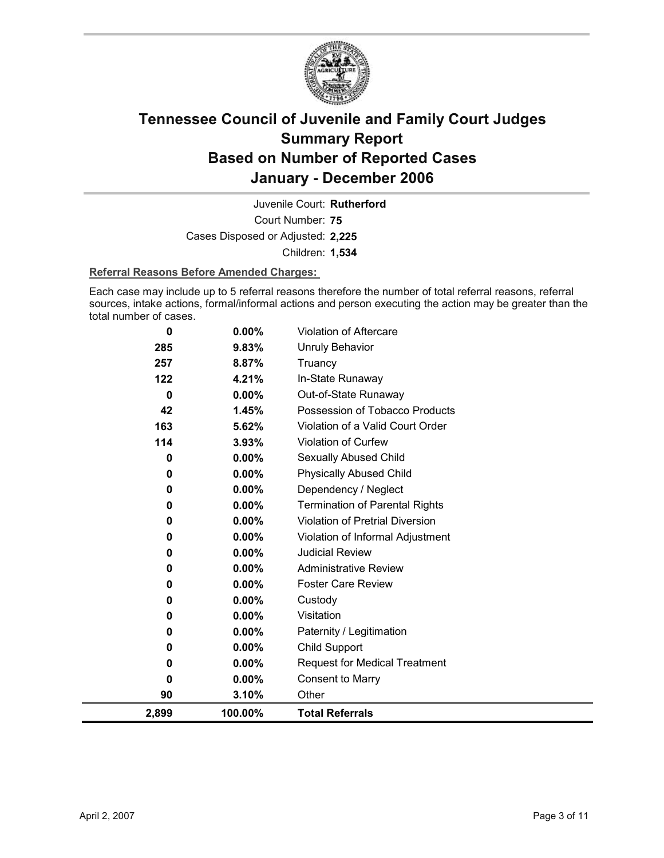

Court Number: **75** Juvenile Court: **Rutherford** Cases Disposed or Adjusted: **2,225** Children: **1,534**

#### **Referral Reasons Before Amended Charges:**

Each case may include up to 5 referral reasons therefore the number of total referral reasons, referral sources, intake actions, formal/informal actions and person executing the action may be greater than the total number of cases.

| 285          | 9.83%    | Unruly Behavior                        |
|--------------|----------|----------------------------------------|
| 257          | 8.87%    | Truancy                                |
| 122          | 4.21%    | In-State Runaway                       |
| $\mathbf{0}$ | 0.00%    | Out-of-State Runaway                   |
| 42           | 1.45%    | Possession of Tobacco Products         |
| 163          | 5.62%    | Violation of a Valid Court Order       |
| 114          | 3.93%    | Violation of Curfew                    |
| $\bf{0}$     | $0.00\%$ | Sexually Abused Child                  |
| $\bf{0}$     | $0.00\%$ | <b>Physically Abused Child</b>         |
| 0            | 0.00%    | Dependency / Neglect                   |
| $\bf{0}$     | 0.00%    | <b>Termination of Parental Rights</b>  |
| $\bf{0}$     | 0.00%    | <b>Violation of Pretrial Diversion</b> |
| 0            | 0.00%    | Violation of Informal Adjustment       |
| 0            | 0.00%    | <b>Judicial Review</b>                 |
| 0            | $0.00\%$ | <b>Administrative Review</b>           |
| 0            | 0.00%    | <b>Foster Care Review</b>              |
| 0            | 0.00%    | Custody                                |
| $\bf{0}$     | $0.00\%$ | Visitation                             |
| 0            | $0.00\%$ | Paternity / Legitimation               |
| 0            | 0.00%    | Child Support                          |
| 0            | $0.00\%$ | <b>Request for Medical Treatment</b>   |
| $\Omega$     | $0.00\%$ | Consent to Marry                       |
| 90           | 3.10%    | Other                                  |
| 2,899        | 100.00%  | <b>Total Referrals</b>                 |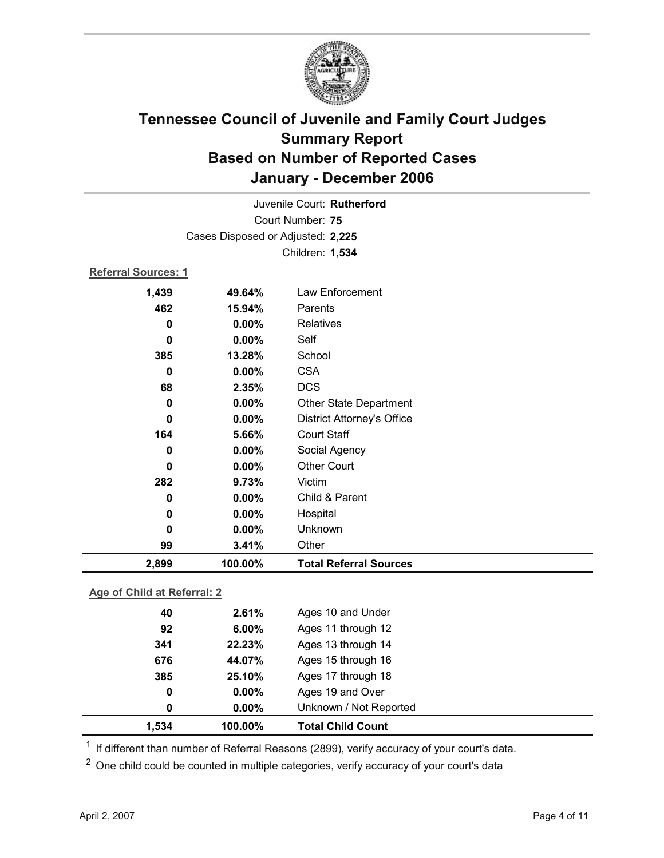

| Juvenile Court: Rutherford  |                                   |                                   |  |  |  |
|-----------------------------|-----------------------------------|-----------------------------------|--|--|--|
| Court Number: 75            |                                   |                                   |  |  |  |
|                             | Cases Disposed or Adjusted: 2,225 |                                   |  |  |  |
|                             |                                   | Children: 1,534                   |  |  |  |
|                             | <b>Referral Sources: 1</b>        |                                   |  |  |  |
| 1,439                       | 49.64%                            | Law Enforcement                   |  |  |  |
| 462                         | 15.94%                            | Parents                           |  |  |  |
| 0                           | 0.00%                             | <b>Relatives</b>                  |  |  |  |
| $\bf{0}$                    | 0.00%                             | Self                              |  |  |  |
| 385                         | 13.28%                            | School                            |  |  |  |
| $\bf{0}$                    | 0.00%                             | <b>CSA</b>                        |  |  |  |
| 68                          | 2.35%                             | <b>DCS</b>                        |  |  |  |
| 0                           | 0.00%                             | Other State Department            |  |  |  |
| $\bf{0}$                    | 0.00%                             | <b>District Attorney's Office</b> |  |  |  |
| 164                         | 5.66%                             | <b>Court Staff</b>                |  |  |  |
| $\bf{0}$                    | 0.00%                             | Social Agency                     |  |  |  |
| $\bf{0}$                    | 0.00%                             | <b>Other Court</b>                |  |  |  |
| 282                         | 9.73%                             | Victim                            |  |  |  |
| 0                           | 0.00%                             | Child & Parent                    |  |  |  |
| $\mathbf 0$                 | 0.00%                             | Hospital                          |  |  |  |
| $\bf{0}$                    | 0.00%                             | Unknown                           |  |  |  |
| 99                          | 3.41%                             | Other                             |  |  |  |
| 2,899                       | 100.00%                           | <b>Total Referral Sources</b>     |  |  |  |
| Age of Child at Referral: 2 |                                   |                                   |  |  |  |

| 1.534 | 100.00%  | <b>Total Child Count</b> |  |
|-------|----------|--------------------------|--|
| 0     | $0.00\%$ | Unknown / Not Reported   |  |
| 0     | 0.00%    | Ages 19 and Over         |  |
| 385   | 25.10%   | Ages 17 through 18       |  |
| 676   | 44.07%   | Ages 15 through 16       |  |
| 341   | 22.23%   | Ages 13 through 14       |  |
| 92    | 6.00%    | Ages 11 through 12       |  |
| 40    | 2.61%    | Ages 10 and Under        |  |

 $1$  If different than number of Referral Reasons (2899), verify accuracy of your court's data.

<sup>2</sup> One child could be counted in multiple categories, verify accuracy of your court's data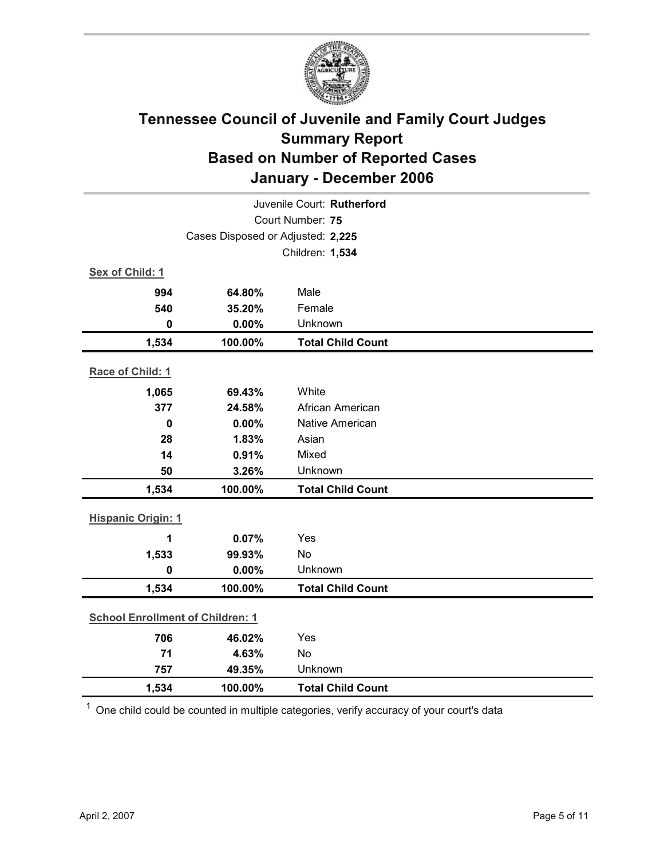

| Juvenile Court: Rutherford        |                                         |                          |  |  |  |
|-----------------------------------|-----------------------------------------|--------------------------|--|--|--|
| Court Number: 75                  |                                         |                          |  |  |  |
| Cases Disposed or Adjusted: 2,225 |                                         |                          |  |  |  |
|                                   |                                         | Children: 1,534          |  |  |  |
| Sex of Child: 1                   |                                         |                          |  |  |  |
| 994                               | 64.80%                                  | Male                     |  |  |  |
| 540                               | 35.20%                                  | Female                   |  |  |  |
| $\mathbf 0$                       | 0.00%                                   | Unknown                  |  |  |  |
| 1,534                             | 100.00%                                 | <b>Total Child Count</b> |  |  |  |
| Race of Child: 1                  |                                         |                          |  |  |  |
| 1,065                             | 69.43%                                  | White                    |  |  |  |
| 377                               | 24.58%                                  | African American         |  |  |  |
| $\mathbf 0$                       | 0.00%                                   | <b>Native American</b>   |  |  |  |
| 28                                | 1.83%                                   | Asian                    |  |  |  |
| 14                                | 0.91%                                   | Mixed                    |  |  |  |
| 50                                | 3.26%                                   | Unknown                  |  |  |  |
| 1,534                             | 100.00%                                 | <b>Total Child Count</b> |  |  |  |
| <b>Hispanic Origin: 1</b>         |                                         |                          |  |  |  |
| 1                                 | 0.07%                                   | Yes                      |  |  |  |
| 1,533                             | 99.93%                                  | <b>No</b>                |  |  |  |
| $\mathbf 0$                       | 0.00%                                   | Unknown                  |  |  |  |
| 1,534                             | 100.00%                                 | <b>Total Child Count</b> |  |  |  |
|                                   | <b>School Enrollment of Children: 1</b> |                          |  |  |  |
| 706                               | 46.02%                                  | Yes                      |  |  |  |
| 71                                | 4.63%                                   | <b>No</b>                |  |  |  |
| 757                               | 49.35%                                  | Unknown                  |  |  |  |
| 1,534                             | 100.00%                                 | <b>Total Child Count</b> |  |  |  |

 $1$  One child could be counted in multiple categories, verify accuracy of your court's data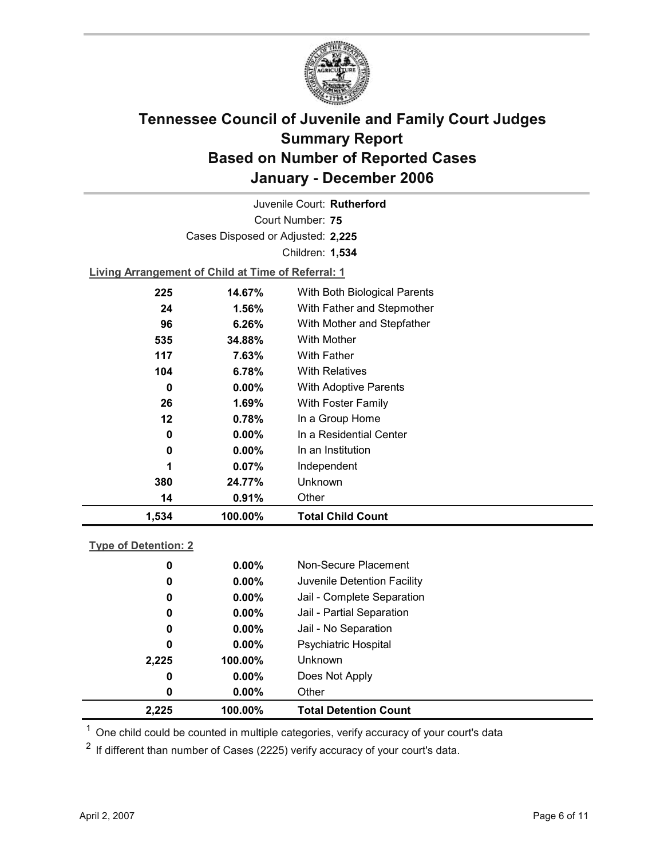

Court Number: **75** Juvenile Court: **Rutherford** Cases Disposed or Adjusted: **2,225** Children: **1,534**

**Living Arrangement of Child at Time of Referral: 1**

| 1,534   | 100.00%  | <b>Total Child Count</b>     |  |
|---------|----------|------------------------------|--|
| 14      | 0.91%    | Other                        |  |
| 380     | 24.77%   | <b>Unknown</b>               |  |
| 1       | $0.07\%$ | Independent                  |  |
| 0       | $0.00\%$ | In an Institution            |  |
| 0       | $0.00\%$ | In a Residential Center      |  |
| $12 \,$ | 0.78%    | In a Group Home              |  |
| 26      | 1.69%    | With Foster Family           |  |
| 0       | $0.00\%$ | With Adoptive Parents        |  |
| 104     | 6.78%    | <b>With Relatives</b>        |  |
| 117     | 7.63%    | With Father                  |  |
| 535     | 34.88%   | With Mother                  |  |
| 96      | 6.26%    | With Mother and Stepfather   |  |
| 24      | $1.56\%$ | With Father and Stepmother   |  |
| 225     | 14.67%   | With Both Biological Parents |  |
|         |          |                              |  |

### **Type of Detention: 2**

| 2.225 |   | 100.00%  | <b>Total Detention Count</b> |
|-------|---|----------|------------------------------|
|       | 0 | $0.00\%$ | Other                        |
|       | 0 | $0.00\%$ | Does Not Apply               |
| 2,225 |   | 100.00%  | <b>Unknown</b>               |
|       | 0 | $0.00\%$ | <b>Psychiatric Hospital</b>  |
|       | 0 | $0.00\%$ | Jail - No Separation         |
|       | 0 | $0.00\%$ | Jail - Partial Separation    |
|       | 0 | $0.00\%$ | Jail - Complete Separation   |
|       | 0 | $0.00\%$ | Juvenile Detention Facility  |
|       | 0 | $0.00\%$ | Non-Secure Placement         |
|       |   |          |                              |

 $<sup>1</sup>$  One child could be counted in multiple categories, verify accuracy of your court's data</sup>

 $2$  If different than number of Cases (2225) verify accuracy of your court's data.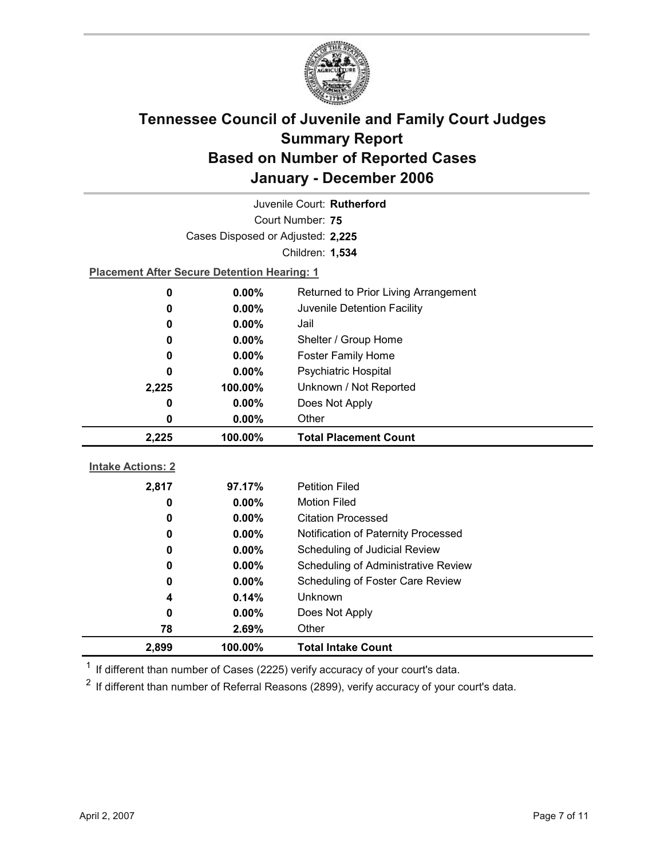

| Juvenile Court: Rutherford |                                                    |                                     |  |
|----------------------------|----------------------------------------------------|-------------------------------------|--|
| Court Number: 75           |                                                    |                                     |  |
|                            | Cases Disposed or Adjusted: 2,225                  |                                     |  |
|                            |                                                    | Children: 1,534                     |  |
|                            | <b>Placement After Secure Detention Hearing: 1</b> |                                     |  |
| 0                          | Returned to Prior Living Arrangement<br>$0.00\%$   |                                     |  |
| 0                          | 0.00%                                              | Juvenile Detention Facility         |  |
| 0                          | $0.00\%$                                           | Jail                                |  |
| 0                          | $0.00\%$                                           | Shelter / Group Home                |  |
| 0                          | $0.00\%$                                           | Foster Family Home                  |  |
| 0                          | $0.00\%$                                           | Psychiatric Hospital                |  |
| 2,225                      | 100.00%                                            | Unknown / Not Reported              |  |
| 0                          | 0.00%                                              | Does Not Apply                      |  |
| 0                          | $0.00\%$                                           | Other                               |  |
|                            |                                                    |                                     |  |
| 2,225                      | 100.00%                                            | <b>Total Placement Count</b>        |  |
|                            |                                                    |                                     |  |
| <b>Intake Actions: 2</b>   |                                                    |                                     |  |
| 2,817                      | 97.17%                                             | <b>Petition Filed</b>               |  |
| 0                          | 0.00%                                              | <b>Motion Filed</b>                 |  |
| 0                          | $0.00\%$                                           | <b>Citation Processed</b>           |  |
| 0                          | 0.00%                                              | Notification of Paternity Processed |  |
| 0                          | $0.00\%$                                           | Scheduling of Judicial Review       |  |
| 0                          | 0.00%                                              | Scheduling of Administrative Review |  |
| 0                          | $0.00\%$                                           | Scheduling of Foster Care Review    |  |
| 4                          | 0.14%                                              | Unknown                             |  |
| 0                          | $0.00\%$                                           | Does Not Apply                      |  |
| 78<br>2,899                | 2.69%<br>100.00%                                   | Other<br><b>Total Intake Count</b>  |  |

 $1$  If different than number of Cases (2225) verify accuracy of your court's data.

 $2$  If different than number of Referral Reasons (2899), verify accuracy of your court's data.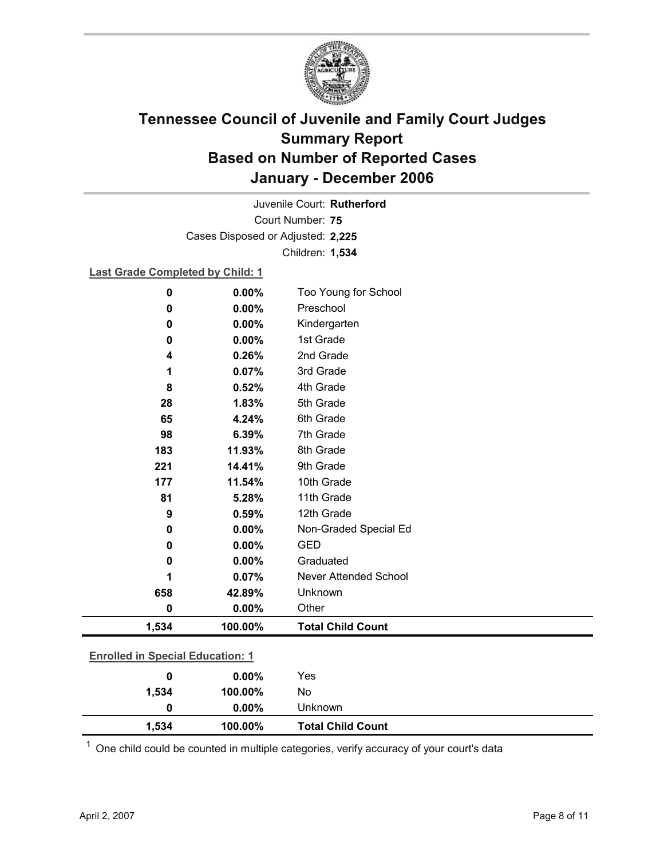

Court Number: **75** Juvenile Court: **Rutherford** Cases Disposed or Adjusted: **2,225** Children: **1,534**

**Last Grade Completed by Child: 1**

| $\bf{0}$                                | 0.00%    | Too Young for School     |
|-----------------------------------------|----------|--------------------------|
| 0                                       | 0.00%    | Preschool                |
| 0                                       | 0.00%    | Kindergarten             |
| 0                                       | 0.00%    | 1st Grade                |
| 4                                       | 0.26%    | 2nd Grade                |
| 1                                       | 0.07%    | 3rd Grade                |
| 8                                       | 0.52%    | 4th Grade                |
| 28                                      | 1.83%    | 5th Grade                |
| 65                                      | 4.24%    | 6th Grade                |
| 98                                      | 6.39%    | 7th Grade                |
| 183                                     | 11.93%   | 8th Grade                |
| 221                                     | 14.41%   | 9th Grade                |
| 177                                     | 11.54%   | 10th Grade               |
| 81                                      | 5.28%    | 11th Grade               |
| 9                                       | 0.59%    | 12th Grade               |
| 0                                       | 0.00%    | Non-Graded Special Ed    |
| 0                                       | $0.00\%$ | <b>GED</b>               |
| 0                                       | 0.00%    | Graduated                |
| 1                                       | 0.07%    | Never Attended School    |
| 658                                     | 42.89%   | Unknown                  |
| 0                                       | 0.00%    | Other                    |
| 1,534                                   | 100.00%  | <b>Total Child Count</b> |
| <b>Enrolled in Special Education: 1</b> |          |                          |
| 0                                       | 0.00%    | Yes                      |
| 1,534                                   | 100.00%  | No                       |

 $1$  One child could be counted in multiple categories, verify accuracy of your court's data

**0 0.00%** Unknown

**1,534 100.00% Total Child Count**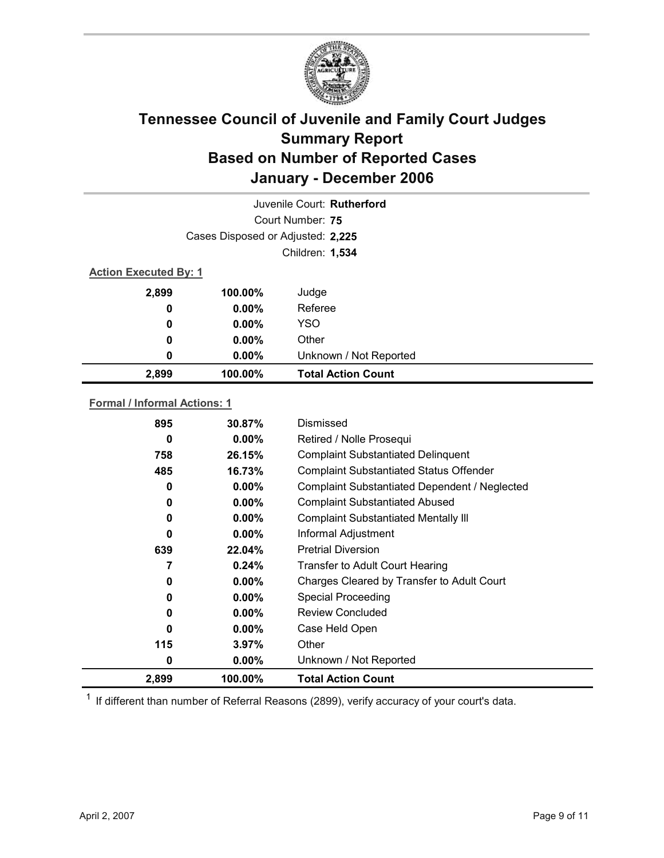

|                              |                                   | Juvenile Court: Rutherford |  |
|------------------------------|-----------------------------------|----------------------------|--|
|                              |                                   | Court Number: 75           |  |
|                              | Cases Disposed or Adjusted: 2,225 |                            |  |
|                              |                                   | Children: 1,534            |  |
| <b>Action Executed By: 1</b> |                                   |                            |  |
| 2,899                        | 100.00%                           | Judge                      |  |
| 0                            | $0.00\%$                          | Referee                    |  |
| $\bf{0}$                     | $0.00\%$                          | <b>YSO</b>                 |  |
| 0                            | $0.00\%$                          | Other                      |  |
| 0                            | 0.00%                             | Unknown / Not Reported     |  |
| 2,899                        | 100.00%                           | <b>Total Action Count</b>  |  |
|                              |                                   |                            |  |

### **Formal / Informal Actions: 1**

| 895   | 30.87%   | Dismissed                                      |
|-------|----------|------------------------------------------------|
| 0     | $0.00\%$ | Retired / Nolle Prosequi                       |
| 758   | 26.15%   | <b>Complaint Substantiated Delinquent</b>      |
| 485   | 16.73%   | <b>Complaint Substantiated Status Offender</b> |
| 0     | $0.00\%$ | Complaint Substantiated Dependent / Neglected  |
| 0     | $0.00\%$ | <b>Complaint Substantiated Abused</b>          |
| 0     | $0.00\%$ | <b>Complaint Substantiated Mentally III</b>    |
| 0     | $0.00\%$ | Informal Adjustment                            |
| 639   | 22.04%   | <b>Pretrial Diversion</b>                      |
| 7     | $0.24\%$ | <b>Transfer to Adult Court Hearing</b>         |
| 0     | $0.00\%$ | Charges Cleared by Transfer to Adult Court     |
| 0     | $0.00\%$ | <b>Special Proceeding</b>                      |
| 0     | $0.00\%$ | <b>Review Concluded</b>                        |
| 0     | $0.00\%$ | Case Held Open                                 |
| 115   | $3.97\%$ | Other                                          |
| 0     | $0.00\%$ | Unknown / Not Reported                         |
| 2,899 | 100.00%  | <b>Total Action Count</b>                      |

 $1$  If different than number of Referral Reasons (2899), verify accuracy of your court's data.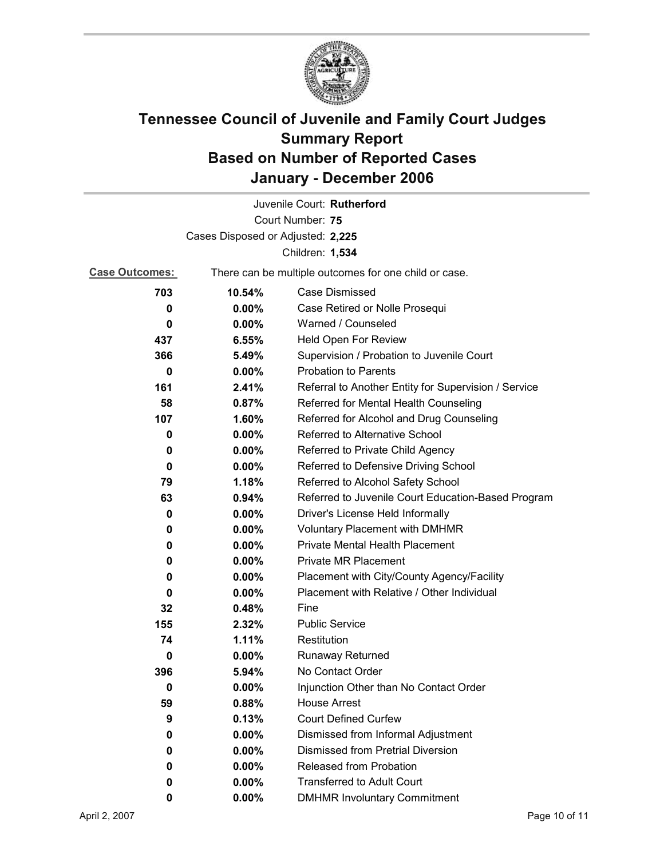

|                       |                                   | Juvenile Court: Rutherford                            |
|-----------------------|-----------------------------------|-------------------------------------------------------|
| Court Number: 75      |                                   |                                                       |
|                       | Cases Disposed or Adjusted: 2,225 |                                                       |
|                       |                                   | Children: 1,534                                       |
| <b>Case Outcomes:</b> |                                   | There can be multiple outcomes for one child or case. |
| 703                   | 10.54%                            | <b>Case Dismissed</b>                                 |
| 0                     | $0.00\%$                          | Case Retired or Nolle Prosequi                        |
| 0                     | 0.00%                             | Warned / Counseled                                    |
| 437                   | 6.55%                             | Held Open For Review                                  |
| 366                   | 5.49%                             | Supervision / Probation to Juvenile Court             |
| $\bf{0}$              | $0.00\%$                          | <b>Probation to Parents</b>                           |
| 161                   | 2.41%                             | Referral to Another Entity for Supervision / Service  |
| 58                    | 0.87%                             | Referred for Mental Health Counseling                 |
| 107                   | 1.60%                             | Referred for Alcohol and Drug Counseling              |
| 0                     | 0.00%                             | Referred to Alternative School                        |
| 0                     | $0.00\%$                          | Referred to Private Child Agency                      |
| 0                     | $0.00\%$                          | Referred to Defensive Driving School                  |
| 79                    | 1.18%                             | Referred to Alcohol Safety School                     |
| 63                    | 0.94%                             | Referred to Juvenile Court Education-Based Program    |
| 0                     | $0.00\%$                          | Driver's License Held Informally                      |
| 0                     | $0.00\%$                          | <b>Voluntary Placement with DMHMR</b>                 |
| 0                     | $0.00\%$                          | Private Mental Health Placement                       |
| 0                     | $0.00\%$                          | <b>Private MR Placement</b>                           |
| 0                     | 0.00%                             | Placement with City/County Agency/Facility            |
| 0                     | $0.00\%$                          | Placement with Relative / Other Individual            |
| 32                    | 0.48%                             | Fine                                                  |
| 155                   | 2.32%                             | <b>Public Service</b>                                 |
| 74                    | 1.11%                             | Restitution                                           |
| 0                     | $0.00\%$                          | <b>Runaway Returned</b>                               |
| 396                   | 5.94%                             | No Contact Order                                      |
| 0                     | $0.00\%$                          | Injunction Other than No Contact Order                |
| 59                    | 0.88%                             | <b>House Arrest</b>                                   |
| 9                     | 0.13%                             | <b>Court Defined Curfew</b>                           |
| 0                     | $0.00\%$                          | Dismissed from Informal Adjustment                    |
| 0                     | $0.00\%$                          | Dismissed from Pretrial Diversion                     |
| 0                     | $0.00\%$                          | Released from Probation                               |
| 0                     | $0.00\%$                          | <b>Transferred to Adult Court</b>                     |
| 0                     | 0.00%                             | <b>DMHMR Involuntary Commitment</b>                   |